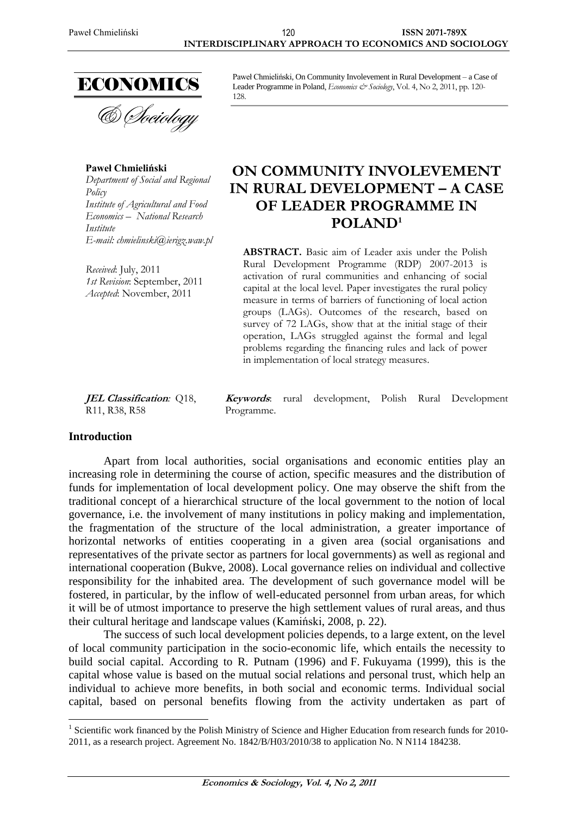

**Paweł Chmieliński** *Department of Social and Regional Policy Institute of Agricultural and Food Economics – National Research Institute E-mail: chmielinski@ierigz.waw.pl*

*Received*: July, 2011 *1st Revision*: September, 2011 *Accepted*: November, 2011

Paweł Chmieliński, On Community Involevement in Rural Development – a Case of Leader Programme in Poland, *Economics & Sociology*, Vol. 4, No 2, 2011, pp. 120-128.

# **ON COMMUNITY INVOLEVEMENT IN RURAL DEVELOPMENT – A CASE OF LEADER PROGRAMME IN POLAND<sup>1</sup>**

**ABSTRACT.** Basic aim of Leader axis under the Polish Rural Development Programme (RDP) 2007-2013 is activation of rural communities and enhancing of social capital at the local level. Paper investigates the rural policy measure in terms of barriers of functioning of local action groups (LAGs). Outcomes of the research, based on survey of 72 LAGs, show that at the initial stage of their operation, LAGs struggled against the formal and legal problems regarding the financing rules and lack of power in implementation of local strategy measures.

**JEL Classification***:* Q18, R11, R38, R58

**Keywords**: rural development, Polish Rural Development Programme.

# **Introduction**

 $\overline{a}$ 

Apart from local authorities, social organisations and economic entities play an increasing role in determining the course of action, specific measures and the distribution of funds for implementation of local development policy. One may observe the shift from the traditional concept of a hierarchical structure of the local government to the notion of local governance, i.e. the involvement of many institutions in policy making and implementation, the fragmentation of the structure of the local administration, a greater importance of horizontal networks of entities cooperating in a given area (social organisations and representatives of the private sector as partners for local governments) as well as regional and international cooperation (Bukve, 2008). Local governance relies on individual and collective responsibility for the inhabited area. The development of such governance model will be fostered, in particular, by the inflow of well-educated personnel from urban areas, for which it will be of utmost importance to preserve the high settlement values of rural areas, and thus their cultural heritage and landscape values (Kamiński, 2008, p. 22).

The success of such local development policies depends, to a large extent, on the level of local community participation in the socio-economic life, which entails the necessity to build social capital. According to R. Putnam (1996) and F. Fukuyama (1999), this is the capital whose value is based on the mutual social relations and personal trust, which help an individual to achieve more benefits, in both social and economic terms. Individual social capital, based on personal benefits flowing from the activity undertaken as part of

<sup>&</sup>lt;sup>1</sup> Scientific work financed by the Polish Ministry of Science and Higher Education from research funds for 2010-2011, as a research project. Agreement No. 1842/B/H03/2010/38 to application No. N N114 184238.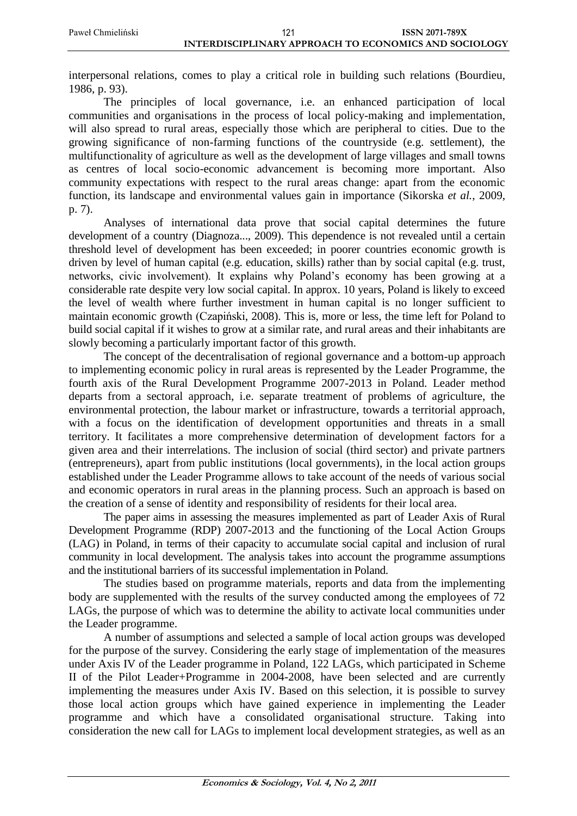interpersonal relations, comes to play a critical role in building such relations (Bourdieu, 1986, p. 93).

The principles of local governance, i.e. an enhanced participation of local communities and organisations in the process of local policy-making and implementation, will also spread to rural areas, especially those which are peripheral to cities. Due to the growing significance of non-farming functions of the countryside (e.g. settlement), the multifunctionality of agriculture as well as the development of large villages and small towns as centres of local socio-economic advancement is becoming more important. Also community expectations with respect to the rural areas change: apart from the economic function, its landscape and environmental values gain in importance (Sikorska *et al.*, 2009, p. 7).

Analyses of international data prove that social capital determines the future development of a country (Diagnoza..., 2009). This dependence is not revealed until a certain threshold level of development has been exceeded; in poorer countries economic growth is driven by level of human capital (e.g. education, skills) rather than by social capital (e.g. trust, networks, civic involvement). It explains why Poland's economy has been growing at a considerable rate despite very low social capital. In approx. 10 years, Poland is likely to exceed the level of wealth where further investment in human capital is no longer sufficient to maintain economic growth (Czapiński, 2008). This is, more or less, the time left for Poland to build social capital if it wishes to grow at a similar rate, and rural areas and their inhabitants are slowly becoming a particularly important factor of this growth.

The concept of the decentralisation of regional governance and a bottom-up approach to implementing economic policy in rural areas is represented by the Leader Programme, the fourth axis of the Rural Development Programme 2007-2013 in Poland. Leader method departs from a sectoral approach, i.e. separate treatment of problems of agriculture, the environmental protection, the labour market or infrastructure, towards a territorial approach, with a focus on the identification of development opportunities and threats in a small territory. It facilitates a more comprehensive determination of development factors for a given area and their interrelations. The inclusion of social (third sector) and private partners (entrepreneurs), apart from public institutions (local governments), in the local action groups established under the Leader Programme allows to take account of the needs of various social and economic operators in rural areas in the planning process. Such an approach is based on the creation of a sense of identity and responsibility of residents for their local area.

The paper aims in assessing the measures implemented as part of Leader Axis of Rural Development Programme (RDP) 2007-2013 and the functioning of the Local Action Groups (LAG) in Poland, in terms of their capacity to accumulate social capital and inclusion of rural community in local development. The analysis takes into account the programme assumptions and the institutional barriers of its successful implementation in Poland.

The studies based on programme materials, reports and data from the implementing body are supplemented with the results of the survey conducted among the employees of 72 LAGs, the purpose of which was to determine the ability to activate local communities under the Leader programme.

A number of assumptions and selected a sample of local action groups was developed for the purpose of the survey. Considering the early stage of implementation of the measures under Axis IV of the Leader programme in Poland, 122 LAGs, which participated in Scheme II of the Pilot Leader+Programme in 2004-2008, have been selected and are currently implementing the measures under Axis IV. Based on this selection, it is possible to survey those local action groups which have gained experience in implementing the Leader programme and which have a consolidated organisational structure. Taking into consideration the new call for LAGs to implement local development strategies, as well as an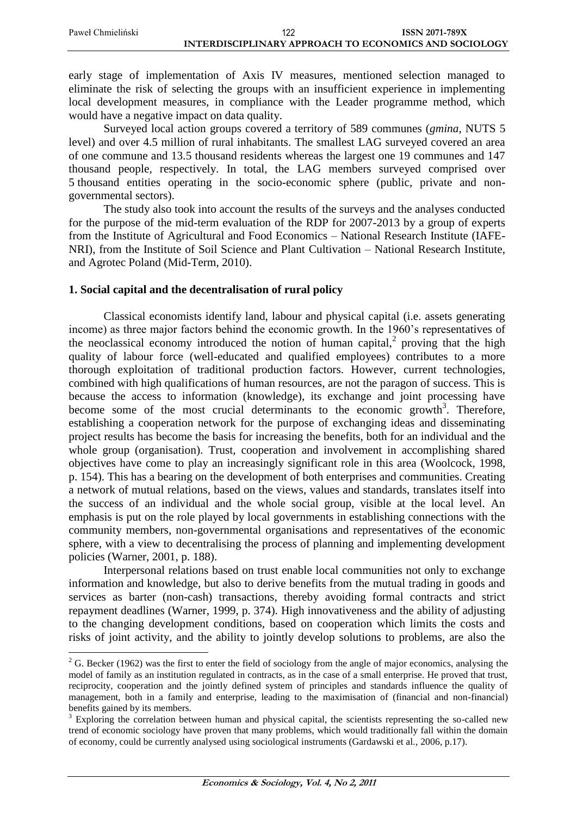early stage of implementation of Axis IV measures, mentioned selection managed to eliminate the risk of selecting the groups with an insufficient experience in implementing local development measures, in compliance with the Leader programme method, which would have a negative impact on data quality.

Surveyed local action groups covered a territory of 589 communes (*gmina*, NUTS 5 level) and over 4.5 million of rural inhabitants. The smallest LAG surveyed covered an area of one commune and 13.5 thousand residents whereas the largest one 19 communes and 147 thousand people, respectively. In total, the LAG members surveyed comprised over 5 thousand entities operating in the socio-economic sphere (public, private and nongovernmental sectors).

The study also took into account the results of the surveys and the analyses conducted for the purpose of the mid-term evaluation of the RDP for 2007-2013 by a group of experts from the Institute of Agricultural and Food Economics – National Research Institute (IAFE-NRI), from the Institute of Soil Science and Plant Cultivation – National Research Institute, and Agrotec Poland (Mid-Term, 2010).

# **1. Social capital and the decentralisation of rural policy**

 $\overline{a}$ 

Classical economists identify land, labour and physical capital (i.e. assets generating income) as three major factors behind the economic growth. In the 1960's representatives of the neoclassical economy introduced the notion of human capital,<sup>2</sup> proving that the high quality of labour force (well-educated and qualified employees) contributes to a more thorough exploitation of traditional production factors. However, current technologies, combined with high qualifications of human resources, are not the paragon of success. This is because the access to information (knowledge), its exchange and joint processing have become some of the most crucial determinants to the economic growth<sup>3</sup>. Therefore, establishing a cooperation network for the purpose of exchanging ideas and disseminating project results has become the basis for increasing the benefits, both for an individual and the whole group (organisation). Trust, cooperation and involvement in accomplishing shared objectives have come to play an increasingly significant role in this area (Woolcock, 1998, p. 154). This has a bearing on the development of both enterprises and communities. Creating a network of mutual relations, based on the views, values and standards, translates itself into the success of an individual and the whole social group, visible at the local level. An emphasis is put on the role played by local governments in establishing connections with the community members, non-governmental organisations and representatives of the economic sphere, with a view to decentralising the process of planning and implementing development policies (Warner, 2001, p. 188).

Interpersonal relations based on trust enable local communities not only to exchange information and knowledge, but also to derive benefits from the mutual trading in goods and services as barter (non-cash) transactions, thereby avoiding formal contracts and strict repayment deadlines (Warner, 1999, p. 374). High innovativeness and the ability of adjusting to the changing development conditions, based on cooperation which limits the costs and risks of joint activity, and the ability to jointly develop solutions to problems, are also the

 $2^2$  G. Becker (1962) was the first to enter the field of sociology from the angle of major economics, analysing the model of family as an institution regulated in contracts, as in the case of a small enterprise. He proved that trust, reciprocity, cooperation and the jointly defined system of principles and standards influence the quality of management, both in a family and enterprise, leading to the maximisation of (financial and non-financial) benefits gained by its members.

<sup>&</sup>lt;sup>3</sup> Exploring the correlation between human and physical capital, the scientists representing the so-called new trend of economic sociology have proven that many problems, which would traditionally fall within the domain of economy, could be currently analysed using sociological instruments (Gardawski et al., 2006, p.17).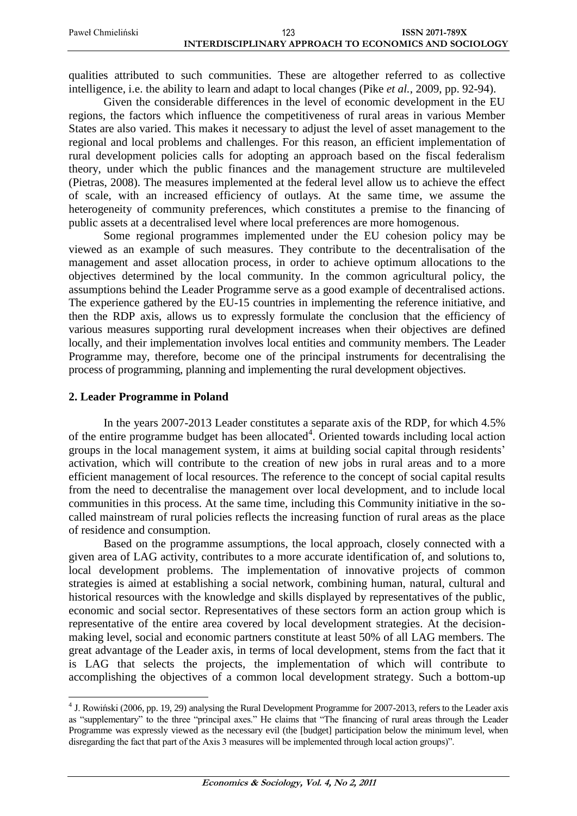| Paweł Chmieliński | 123                                                   | <b>ISSN 2071-789X</b> |
|-------------------|-------------------------------------------------------|-----------------------|
|                   | INTERDISCIPLINARY APPROACH TO ECONOMICS AND SOCIOLOGY |                       |

qualities attributed to such communities. These are altogether referred to as collective intelligence, i.e. the ability to learn and adapt to local changes (Pike *et al.*, 2009, pp. 92-94).

Given the considerable differences in the level of economic development in the EU regions, the factors which influence the competitiveness of rural areas in various Member States are also varied. This makes it necessary to adjust the level of asset management to the regional and local problems and challenges. For this reason, an efficient implementation of rural development policies calls for adopting an approach based on the fiscal federalism theory, under which the public finances and the management structure are multileveled (Pietras, 2008). The measures implemented at the federal level allow us to achieve the effect of scale, with an increased efficiency of outlays. At the same time, we assume the heterogeneity of community preferences, which constitutes a premise to the financing of public assets at a decentralised level where local preferences are more homogenous.

Some regional programmes implemented under the EU cohesion policy may be viewed as an example of such measures. They contribute to the decentralisation of the management and asset allocation process, in order to achieve optimum allocations to the objectives determined by the local community. In the common agricultural policy, the assumptions behind the Leader Programme serve as a good example of decentralised actions. The experience gathered by the EU-15 countries in implementing the reference initiative, and then the RDP axis, allows us to expressly formulate the conclusion that the efficiency of various measures supporting rural development increases when their objectives are defined locally, and their implementation involves local entities and community members. The Leader Programme may, therefore, become one of the principal instruments for decentralising the process of programming, planning and implementing the rural development objectives.

#### **2. Leader Programme in Poland**

 $\overline{a}$ 

In the years 2007-2013 Leader constitutes a separate axis of the RDP, for which 4.5% of the entire programme budget has been allocated<sup>4</sup>. Oriented towards including local action groups in the local management system, it aims at building social capital through residents' activation, which will contribute to the creation of new jobs in rural areas and to a more efficient management of local resources. The reference to the concept of social capital results from the need to decentralise the management over local development, and to include local communities in this process. At the same time, including this Community initiative in the socalled mainstream of rural policies reflects the increasing function of rural areas as the place of residence and consumption.

Based on the programme assumptions, the local approach, closely connected with a given area of LAG activity, contributes to a more accurate identification of, and solutions to, local development problems. The implementation of innovative projects of common strategies is aimed at establishing a social network, combining human, natural, cultural and historical resources with the knowledge and skills displayed by representatives of the public, economic and social sector. Representatives of these sectors form an action group which is representative of the entire area covered by local development strategies. At the decisionmaking level, social and economic partners constitute at least 50% of all LAG members. The great advantage of the Leader axis, in terms of local development, stems from the fact that it is LAG that selects the projects, the implementation of which will contribute to accomplishing the objectives of a common local development strategy. Such a bottom-up

<sup>&</sup>lt;sup>4</sup> J. Rowiński (2006, pp. 19, 29) analysing the Rural Development Programme for 2007-2013, refers to the Leader axis as "supplementary" to the three "principal axes." He claims that "The financing of rural areas through the Leader Programme was expressly viewed as the necessary evil (the [budget] participation below the minimum level, when disregarding the fact that part of the Axis 3 measures will be implemented through local action groups)".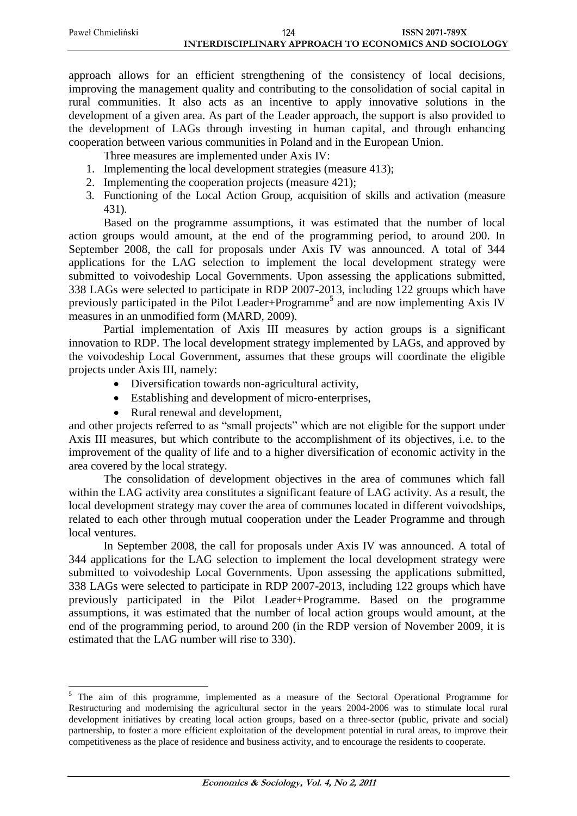approach allows for an efficient strengthening of the consistency of local decisions, improving the management quality and contributing to the consolidation of social capital in rural communities. It also acts as an incentive to apply innovative solutions in the development of a given area. As part of the Leader approach, the support is also provided to the development of LAGs through investing in human capital, and through enhancing cooperation between various communities in Poland and in the European Union.

Three measures are implemented under Axis IV:

- 1. Implementing the local development strategies (measure 413);
- 2. Implementing the cooperation projects (measure 421);
- 3. Functioning of the Local Action Group, acquisition of skills and activation (measure 431).

Based on the programme assumptions, it was estimated that the number of local action groups would amount, at the end of the programming period, to around 200. In September 2008, the call for proposals under Axis IV was announced. A total of 344 applications for the LAG selection to implement the local development strategy were submitted to voivodeship Local Governments. Upon assessing the applications submitted, 338 LAGs were selected to participate in RDP 2007-2013, including 122 groups which have previously participated in the Pilot Leader+Programme<sup>5</sup> and are now implementing Axis IV measures in an unmodified form (MARD, 2009).

Partial implementation of Axis III measures by action groups is a significant innovation to RDP. The local development strategy implemented by LAGs, and approved by the voivodeship Local Government, assumes that these groups will coordinate the eligible projects under Axis III, namely:

- Diversification towards non-agricultural activity,
- Establishing and development of micro-enterprises,
- Rural renewal and development,

and other projects referred to as "small projects" which are not eligible for the support under Axis III measures, but which contribute to the accomplishment of its objectives, i.e. to the improvement of the quality of life and to a higher diversification of economic activity in the area covered by the local strategy.

The consolidation of development objectives in the area of communes which fall within the LAG activity area constitutes a significant feature of LAG activity. As a result, the local development strategy may cover the area of communes located in different voivodships, related to each other through mutual cooperation under the Leader Programme and through local ventures.

In September 2008, the call for proposals under Axis IV was announced. A total of 344 applications for the LAG selection to implement the local development strategy were submitted to voivodeship Local Governments. Upon assessing the applications submitted, 338 LAGs were selected to participate in RDP 2007-2013, including 122 groups which have previously participated in the Pilot Leader+Programme. Based on the programme assumptions, it was estimated that the number of local action groups would amount, at the end of the programming period, to around 200 (in the RDP version of November 2009, it is estimated that the LAG number will rise to 330).

<sup>&</sup>lt;sup>5</sup> The aim of this programme, implemented as a measure of the Sectoral Operational Programme for Restructuring and modernising the agricultural sector in the years 2004-2006 was to stimulate local rural development initiatives by creating local action groups, based on a three-sector (public, private and social) partnership, to foster a more efficient exploitation of the development potential in rural areas, to improve their competitiveness as the place of residence and business activity, and to encourage the residents to cooperate.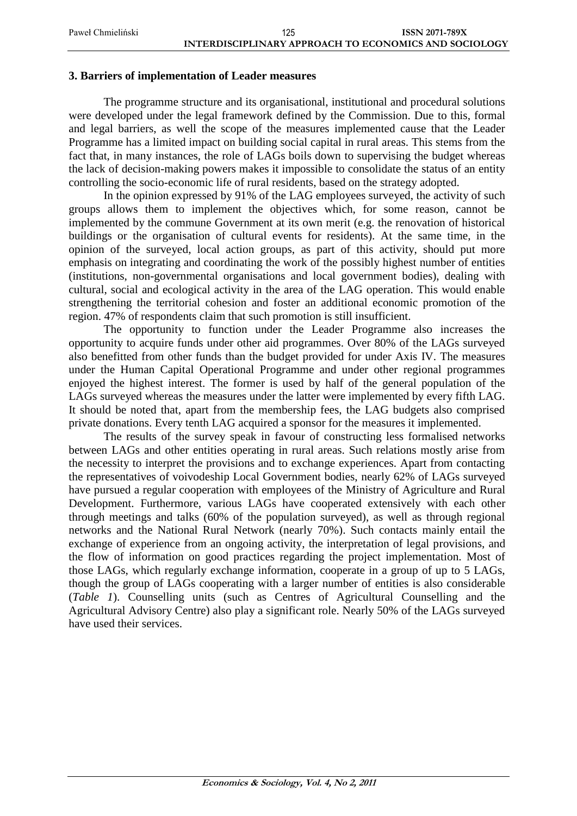### **3. Barriers of implementation of Leader measures**

The programme structure and its organisational, institutional and procedural solutions were developed under the legal framework defined by the Commission. Due to this, formal and legal barriers, as well the scope of the measures implemented cause that the Leader Programme has a limited impact on building social capital in rural areas. This stems from the fact that, in many instances, the role of LAGs boils down to supervising the budget whereas the lack of decision-making powers makes it impossible to consolidate the status of an entity controlling the socio-economic life of rural residents, based on the strategy adopted.

In the opinion expressed by 91% of the LAG employees surveyed, the activity of such groups allows them to implement the objectives which, for some reason, cannot be implemented by the commune Government at its own merit (e.g. the renovation of historical buildings or the organisation of cultural events for residents). At the same time, in the opinion of the surveyed, local action groups, as part of this activity, should put more emphasis on integrating and coordinating the work of the possibly highest number of entities (institutions, non-governmental organisations and local government bodies), dealing with cultural, social and ecological activity in the area of the LAG operation. This would enable strengthening the territorial cohesion and foster an additional economic promotion of the region. 47% of respondents claim that such promotion is still insufficient.

The opportunity to function under the Leader Programme also increases the opportunity to acquire funds under other aid programmes. Over 80% of the LAGs surveyed also benefitted from other funds than the budget provided for under Axis IV. The measures under the Human Capital Operational Programme and under other regional programmes enjoyed the highest interest. The former is used by half of the general population of the LAGs surveyed whereas the measures under the latter were implemented by every fifth LAG. It should be noted that, apart from the membership fees, the LAG budgets also comprised private donations. Every tenth LAG acquired a sponsor for the measures it implemented.

The results of the survey speak in favour of constructing less formalised networks between LAGs and other entities operating in rural areas. Such relations mostly arise from the necessity to interpret the provisions and to exchange experiences. Apart from contacting the representatives of voivodeship Local Government bodies, nearly 62% of LAGs surveyed have pursued a regular cooperation with employees of the Ministry of Agriculture and Rural Development. Furthermore, various LAGs have cooperated extensively with each other through meetings and talks (60% of the population surveyed), as well as through regional networks and the National Rural Network (nearly 70%). Such contacts mainly entail the exchange of experience from an ongoing activity, the interpretation of legal provisions, and the flow of information on good practices regarding the project implementation. Most of those LAGs, which regularly exchange information, cooperate in a group of up to 5 LAGs, though the group of LAGs cooperating with a larger number of entities is also considerable (*Table 1*). Counselling units (such as Centres of Agricultural Counselling and the Agricultural Advisory Centre) also play a significant role. Nearly 50% of the LAGs surveyed have used their services.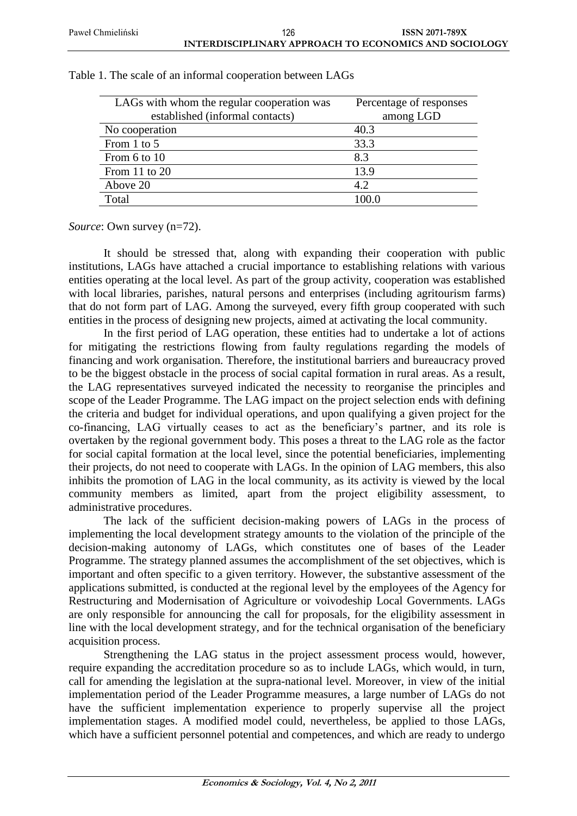| LAGs with whom the regular cooperation was<br>established (informal contacts) | Percentage of responses<br>among LGD |
|-------------------------------------------------------------------------------|--------------------------------------|
| No cooperation                                                                | 40.3                                 |
| From 1 to 5                                                                   | 33.3                                 |
| From 6 to 10                                                                  | 8.3                                  |
| From 11 to 20                                                                 | 13.9                                 |
| Above 20                                                                      | 4.2                                  |
| Total                                                                         | 100.0                                |

Table 1. The scale of an informal cooperation between LAGs

*Source*: Own survey (n=72).

It should be stressed that, along with expanding their cooperation with public institutions, LAGs have attached a crucial importance to establishing relations with various entities operating at the local level. As part of the group activity, cooperation was established with local libraries, parishes, natural persons and enterprises (including agritourism farms) that do not form part of LAG. Among the surveyed, every fifth group cooperated with such entities in the process of designing new projects, aimed at activating the local community.

In the first period of LAG operation, these entities had to undertake a lot of actions for mitigating the restrictions flowing from faulty regulations regarding the models of financing and work organisation. Therefore, the institutional barriers and bureaucracy proved to be the biggest obstacle in the process of social capital formation in rural areas. As a result, the LAG representatives surveyed indicated the necessity to reorganise the principles and scope of the Leader Programme. The LAG impact on the project selection ends with defining the criteria and budget for individual operations, and upon qualifying a given project for the co-financing, LAG virtually ceases to act as the beneficiary's partner, and its role is overtaken by the regional government body. This poses a threat to the LAG role as the factor for social capital formation at the local level, since the potential beneficiaries, implementing their projects, do not need to cooperate with LAGs. In the opinion of LAG members, this also inhibits the promotion of LAG in the local community, as its activity is viewed by the local community members as limited, apart from the project eligibility assessment, to administrative procedures.

The lack of the sufficient decision-making powers of LAGs in the process of implementing the local development strategy amounts to the violation of the principle of the decision-making autonomy of LAGs, which constitutes one of bases of the Leader Programme. The strategy planned assumes the accomplishment of the set objectives, which is important and often specific to a given territory. However, the substantive assessment of the applications submitted, is conducted at the regional level by the employees of the Agency for Restructuring and Modernisation of Agriculture or voivodeship Local Governments. LAGs are only responsible for announcing the call for proposals, for the eligibility assessment in line with the local development strategy, and for the technical organisation of the beneficiary acquisition process.

Strengthening the LAG status in the project assessment process would, however, require expanding the accreditation procedure so as to include LAGs, which would, in turn, call for amending the legislation at the supra-national level. Moreover, in view of the initial implementation period of the Leader Programme measures, a large number of LAGs do not have the sufficient implementation experience to properly supervise all the project implementation stages. A modified model could, nevertheless, be applied to those LAGs, which have a sufficient personnel potential and competences, and which are ready to undergo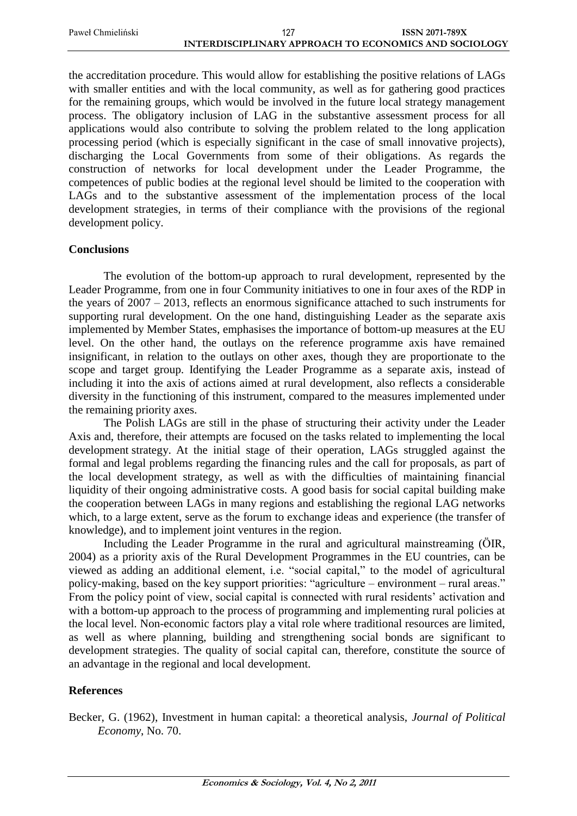| Paweł Chmieliński | 127                                                   | ISSN 2071-789X |
|-------------------|-------------------------------------------------------|----------------|
|                   | INTERDISCIPLINARY APPROACH TO ECONOMICS AND SOCIOLOGY |                |

the accreditation procedure. This would allow for establishing the positive relations of LAGs with smaller entities and with the local community, as well as for gathering good practices for the remaining groups, which would be involved in the future local strategy management process. The obligatory inclusion of LAG in the substantive assessment process for all applications would also contribute to solving the problem related to the long application processing period (which is especially significant in the case of small innovative projects), discharging the Local Governments from some of their obligations. As regards the construction of networks for local development under the Leader Programme, the competences of public bodies at the regional level should be limited to the cooperation with LAGs and to the substantive assessment of the implementation process of the local development strategies, in terms of their compliance with the provisions of the regional development policy.

# **Conclusions**

The evolution of the bottom-up approach to rural development, represented by the Leader Programme, from one in four Community initiatives to one in four axes of the RDP in the years of 2007 – 2013, reflects an enormous significance attached to such instruments for supporting rural development. On the one hand, distinguishing Leader as the separate axis implemented by Member States, emphasises the importance of bottom-up measures at the EU level. On the other hand, the outlays on the reference programme axis have remained insignificant, in relation to the outlays on other axes, though they are proportionate to the scope and target group. Identifying the Leader Programme as a separate axis, instead of including it into the axis of actions aimed at rural development, also reflects a considerable diversity in the functioning of this instrument, compared to the measures implemented under the remaining priority axes.

The Polish LAGs are still in the phase of structuring their activity under the Leader Axis and, therefore, their attempts are focused on the tasks related to implementing the local development strategy. At the initial stage of their operation, LAGs struggled against the formal and legal problems regarding the financing rules and the call for proposals, as part of the local development strategy, as well as with the difficulties of maintaining financial liquidity of their ongoing administrative costs. A good basis for social capital building make the cooperation between LAGs in many regions and establishing the regional LAG networks which, to a large extent, serve as the forum to exchange ideas and experience (the transfer of knowledge), and to implement joint ventures in the region.

Including the Leader Programme in the rural and agricultural mainstreaming (ÖIR, 2004) as a priority axis of the Rural Development Programmes in the EU countries, can be viewed as adding an additional element, i.e. "social capital," to the model of agricultural policy-making, based on the key support priorities: "agriculture – environment – rural areas." From the policy point of view, social capital is connected with rural residents' activation and with a bottom-up approach to the process of programming and implementing rural policies at the local level. Non-economic factors play a vital role where traditional resources are limited, as well as where planning, building and strengthening social bonds are significant to development strategies. The quality of social capital can, therefore, constitute the source of an advantage in the regional and local development.

#### **References**

Becker, G. (1962), Investment in human capital: a theoretical analysis, *Journal of Political Economy*, No. 70.